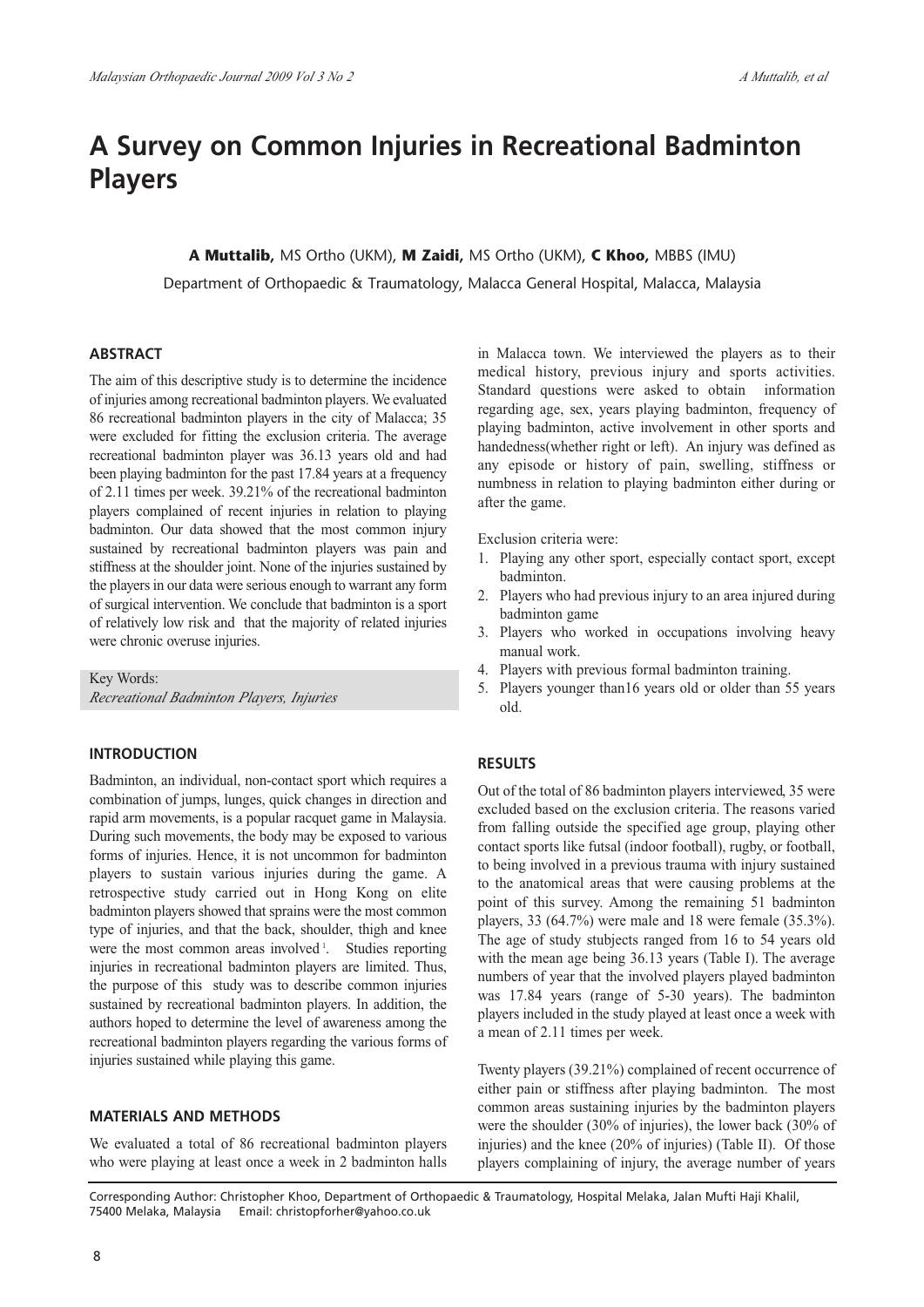# **A Survey on Common Injuries in Recreational Badminton Players**

# **A Muttalib,** MS Ortho (UKM), **M Zaidi,** MS Ortho (UKM), **C Khoo,** MBBS (IMU)

Department of Orthopaedic & Traumatology, Malacca General Hospital, Malacca, Malaysia

### **ABSTRACT**

The aim of this descriptive study is to determine the incidence of injuries among recreational badminton players. We evaluated 86 recreational badminton players in the city of Malacca; 35 were excluded for fitting the exclusion criteria. The average recreational badminton player was 36.13 years old and had been playing badminton for the past 17.84 years at a frequency of 2.11 times per week. 39.21% of the recreational badminton players complained of recent injuries in relation to playing badminton. Our data showed that the most common injury sustained by recreational badminton players was pain and stiffness at the shoulder joint. None of the injuries sustained by the players in our data were serious enough to warrant any form of surgical intervention. We conclude that badminton is a sport of relatively low risk and that the majority of related injuries were chronic overuse injuries.

Key Words:

*Recreational Badminton Players, Injuries*

# **INTRODUCTION**

Badminton, an individual, non-contact sport which requires a combination of jumps, lunges, quick changes in direction and rapid arm movements, is a popular racquet game in Malaysia. During such movements, the body may be exposed to various forms of injuries. Hence, it is not uncommon for badminton players to sustain various injuries during the game. A retrospective study carried out in Hong Kong on elite badminton players showed that sprains were the most common type of injuries, and that the back, shoulder, thigh and knee were the most common areas involved <sup>1</sup>. Studies reporting injuries in recreational badminton players are limited. Thus, the purpose of this study was to describe common injuries sustained by recreational badminton players. In addition, the authors hoped to determine the level of awareness among the recreational badminton players regarding the various forms of injuries sustained while playing this game.

#### **MATERIALS AND METHODS**

We evaluated a total of 86 recreational badminton players who were playing at least once a week in 2 badminton halls

in Malacca town. We interviewed the players as to their medical history, previous injury and sports activities. Standard questions were asked to obtain information regarding age, sex, years playing badminton, frequency of playing badminton, active involvement in other sports and handedness(whether right or left). An injury was defined as any episode or history of pain, swelling, stiffness or numbness in relation to playing badminton either during or after the game.

Exclusion criteria were:

- 1. Playing any other sport, especially contact sport, except badminton.
- 2. Players who had previous injury to an area injured during badminton game
- 3. Players who worked in occupations involving heavy manual work.
- 4. Players with previous formal badminton training.
- 5. Players younger than16 years old or older than 55 years old.

#### **RESULTS**

Out of the total of 86 badminton players interviewed, 35 were excluded based on the exclusion criteria. The reasons varied from falling outside the specified age group, playing other contact sports like futsal (indoor football), rugby, or football, to being involved in a previous trauma with injury sustained to the anatomical areas that were causing problems at the point of this survey. Among the remaining 51 badminton players, 33 (64.7%) were male and 18 were female (35.3%). The age of study stubjects ranged from 16 to 54 years old with the mean age being 36.13 years (Table I). The average numbers of year that the involved players played badminton was 17.84 years (range of 5-30 years). The badminton players included in the study played at least once a week with a mean of 2.11 times per week.

Twenty players (39.21%) complained of recent occurrence of either pain or stiffness after playing badminton. The most common areas sustaining injuries by the badminton players were the shoulder (30% of injuries), the lower back (30% of injuries) and the knee (20% of injuries) (Table II). Of those players complaining of injury, the average number of years

Corresponding Author: Christopher Khoo, Department of Orthopaedic & Traumatology, Hospital Melaka, Jalan Mufti Haji Khalil, 75400 Melaka, Malaysia Email: christopforher@yahoo.co.uk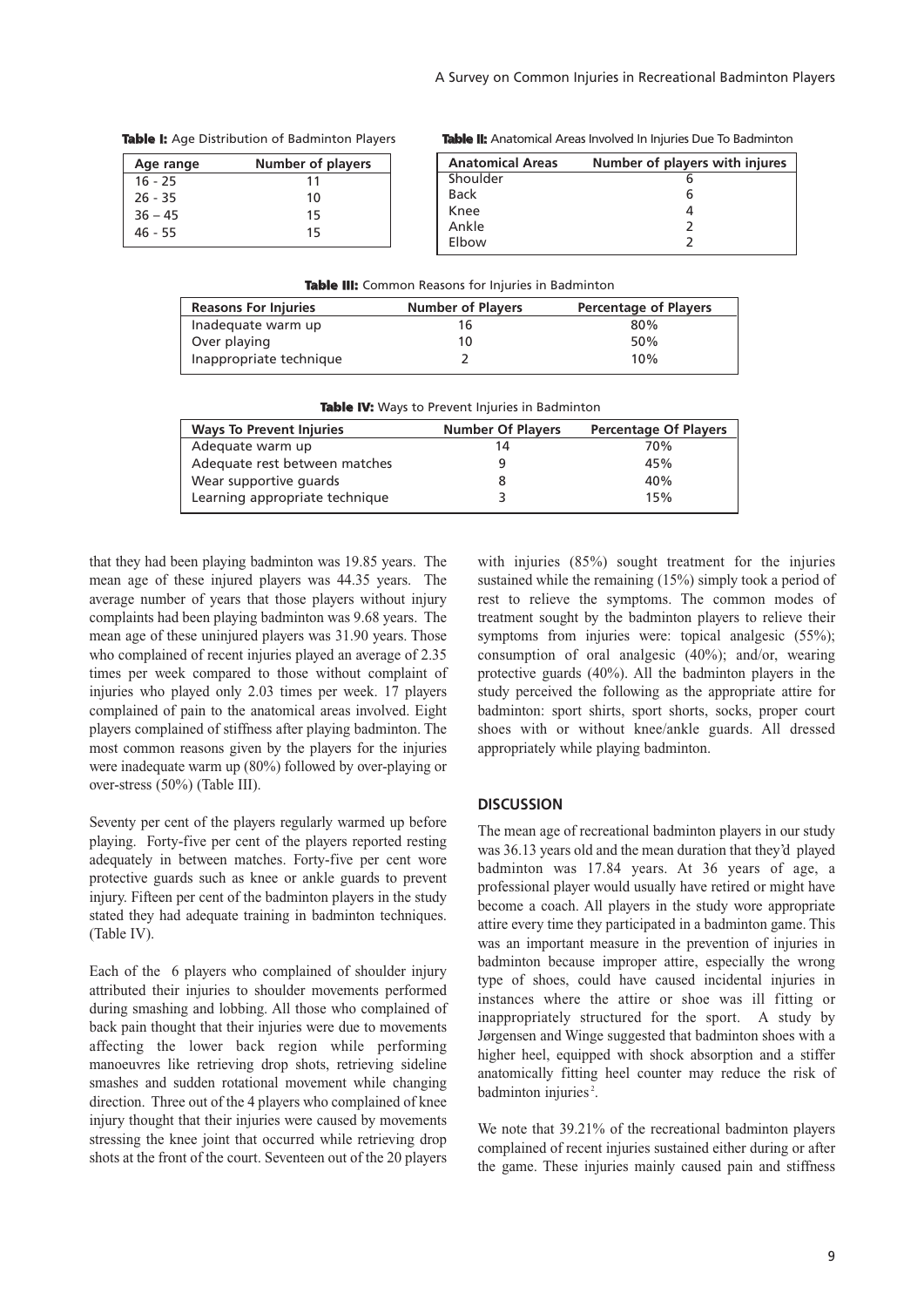| Age range | <b>Number of players</b> |
|-----------|--------------------------|
| $16 - 25$ | 11                       |
| $26 - 35$ | 10                       |
| $36 - 45$ | 15                       |
| 46 - 55   | 15                       |

**Table I:** Age Distribution of Badminton Players

**Table II:** Anatomical Areas Involved In Injuries Due To Badminton

| <b>Anatomical Areas</b> | Number of players with injures |
|-------------------------|--------------------------------|
| Shoulder                |                                |
| <b>Back</b>             |                                |
| Knee                    |                                |
| Ankle                   |                                |
| Elbow                   |                                |

|  |  |  |  |  |  |  | Table III: Common Reasons for Injuries in Badminton |
|--|--|--|--|--|--|--|-----------------------------------------------------|
|--|--|--|--|--|--|--|-----------------------------------------------------|

| <b>Reasons For Injuries</b> | <b>Number of Players</b> | <b>Percentage of Players</b> |
|-----------------------------|--------------------------|------------------------------|
| Inadequate warm up          | 16                       | 80%                          |
| Over playing                | 10                       | 50%                          |
| Inappropriate technique     |                          | 10%                          |

| <b>Table IV:</b> Ways to Prevent Injuries in Badminton |                          |                              |  |  |  |
|--------------------------------------------------------|--------------------------|------------------------------|--|--|--|
| <b>Ways To Prevent Injuries</b>                        | <b>Number Of Players</b> | <b>Percentage Of Players</b> |  |  |  |
| Adequate warm up                                       | 14                       | 70%                          |  |  |  |
| Adequate rest between matches                          |                          | 45%                          |  |  |  |
| Wear supportive quards                                 |                          | 40%                          |  |  |  |
| Learning appropriate technique                         |                          | 15%                          |  |  |  |

that they had been playing badminton was 19.85 years. The mean age of these injured players was 44.35 years. The average number of years that those players without injury complaints had been playing badminton was 9.68 years. The mean age of these uninjured players was 31.90 years. Those who complained of recent injuries played an average of 2.35 times per week compared to those without complaint of injuries who played only 2.03 times per week. 17 players complained of pain to the anatomical areas involved. Eight players complained of stiffness after playing badminton. The most common reasons given by the players for the injuries were inadequate warm up (80%) followed by over-playing or over-stress (50%) (Table III).

Seventy per cent of the players regularly warmed up before playing. Forty-five per cent of the players reported resting adequately in between matches. Forty-five per cent wore protective guards such as knee or ankle guards to prevent injury. Fifteen per cent of the badminton players in the study stated they had adequate training in badminton techniques. (Table IV).

Each of the 6 players who complained of shoulder injury attributed their injuries to shoulder movements performed during smashing and lobbing. All those who complained of back pain thought that their injuries were due to movements affecting the lower back region while performing manoeuvres like retrieving drop shots, retrieving sideline smashes and sudden rotational movement while changing direction. Three out of the 4 players who complained of knee injury thought that their injuries were caused by movements stressing the knee joint that occurred while retrieving drop shots at the front of the court. Seventeen out of the 20 players with injuries (85%) sought treatment for the injuries sustained while the remaining (15%) simply took a period of rest to relieve the symptoms. The common modes of treatment sought by the badminton players to relieve their symptoms from injuries were: topical analgesic (55%); consumption of oral analgesic (40%); and/or, wearing protective guards (40%). All the badminton players in the study perceived the following as the appropriate attire for badminton: sport shirts, sport shorts, socks, proper court shoes with or without knee/ankle guards. All dressed appropriately while playing badminton.

# **DISCUSSION**

The mean age of recreational badminton players in our study was 36.13 years old and the mean duration that they'd played badminton was 17.84 years. At 36 years of age, a professional player would usually have retired or might have become a coach. All players in the study wore appropriate attire every time they participated in a badminton game. This was an important measure in the prevention of injuries in badminton because improper attire, especially the wrong type of shoes, could have caused incidental injuries in instances where the attire or shoe was ill fitting or inappropriately structured for the sport. A study by Jørgensen and Winge suggested that badminton shoes with a higher heel, equipped with shock absorption and a stiffer anatomically fitting heel counter may reduce the risk of badminton injuries<sup>2</sup>.

We note that 39.21% of the recreational badminton players complained of recent injuries sustained either during or after the game. These injuries mainly caused pain and stiffness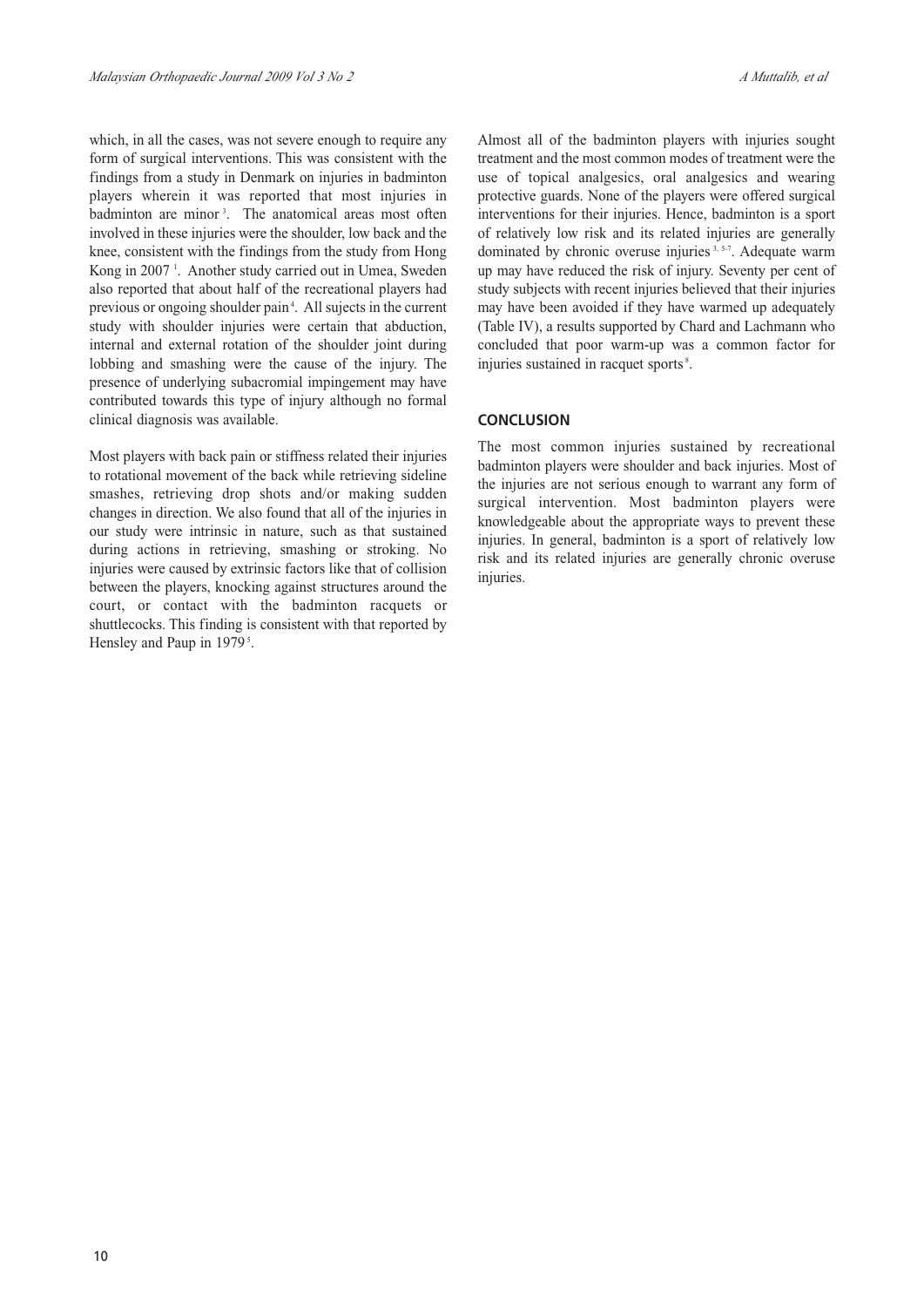which, in all the cases, was not severe enough to require any form of surgical interventions. This was consistent with the findings from a study in Denmark on injuries in badminton players wherein it was reported that most injuries in badminton are minor<sup>3</sup>. The anatomical areas most often involved in these injuries were the shoulder, low back and the knee, consistent with the findings from the study from Hong Kong in 2007<sup>1</sup>. Another study carried out in Umea, Sweden also reported that about half of the recreational players had previous or ongoing shoulder pain<sup>4</sup>. All sujects in the current study with shoulder injuries were certain that abduction, internal and external rotation of the shoulder joint during lobbing and smashing were the cause of the injury. The presence of underlying subacromial impingement may have contributed towards this type of injury although no formal clinical diagnosis was available.

Most players with back pain or stiffness related their injuries to rotational movement of the back while retrieving sideline smashes, retrieving drop shots and/or making sudden changes in direction. We also found that all of the injuries in our study were intrinsic in nature, such as that sustained during actions in retrieving, smashing or stroking. No injuries were caused by extrinsic factors like that of collision between the players, knocking against structures around the court, or contact with the badminton racquets or shuttlecocks. This finding is consistent with that reported by Hensley and Paup in 1979<sup>5</sup>.

Almost all of the badminton players with injuries sought treatment and the most common modes of treatment were the use of topical analgesics, oral analgesics and wearing protective guards. None of the players were offered surgical interventions for their injuries. Hence, badminton is a sport of relatively low risk and its related injuries are generally dominated by chronic overuse injuries 3, 5-7. Adequate warm up may have reduced the risk of injury. Seventy per cent of study subjects with recent injuries believed that their injuries may have been avoided if they have warmed up adequately (Table IV), a results supported by Chard and Lachmann who concluded that poor warm-up was a common factor for injuries sustained in racquet sports<sup>8</sup>.

# **CONCLUSION**

The most common injuries sustained by recreational badminton players were shoulder and back injuries. Most of the injuries are not serious enough to warrant any form of surgical intervention. Most badminton players were knowledgeable about the appropriate ways to prevent these injuries. In general, badminton is a sport of relatively low risk and its related injuries are generally chronic overuse injuries.